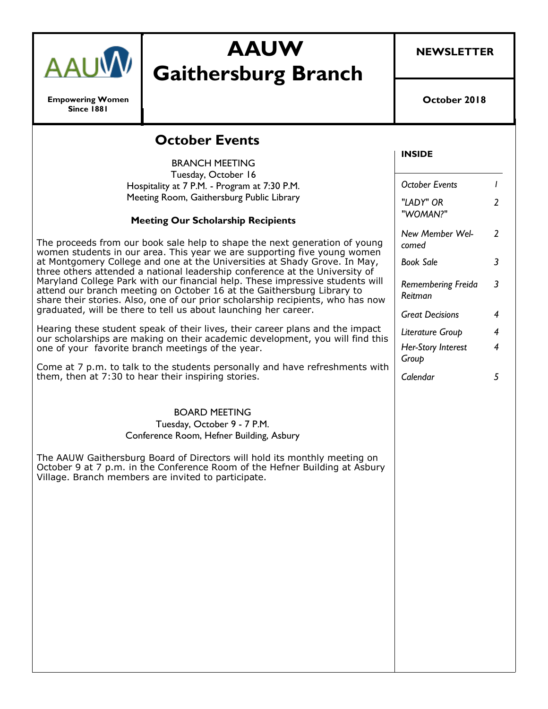

**Empowering Women Since 1881**

# **AAUW Gaithersburg Branch**

**NEWSLETTER**

**October 2018**

## **October Events**

BRANCH MEETING Tuesday, October 16 Hospitality at 7 P.M. - Program at 7:30 P.M. Meeting Room, Gaithersburg Public Library **Meeting Our Scholarship Recipients**  The proceeds from our book sale help to shape the next generation of young women students in our area. This year we are supporting five young women at Montgomery College and one at the Universities at Shady Grove. In May, three others attended a national leadership conference at the University of Maryland College Park with our financial help. These impressive students will attend our branch meeting on October 16 at the Gaithersburg Library to share their stories. Also, one of our prior scholarship recipients, who has now graduated, will be there to tell us about launching her career.

Hearing these student speak of their lives, their career plans and the impact our scholarships are making on their academic development, you will find this one of your favorite branch meetings of the year.

Come at 7 p.m. to talk to the students personally and have refreshments with them, then at 7:30 to hear their inspiring stories.

#### BOARD MEETING

Tuesday, October 9 - 7 P.M. Conference Room, Hefner Building, Asbury

The AAUW Gaithersburg Board of Directors will hold its monthly meeting on October 9 at 7 p.m. in the Conference Room of the Hefner Building at Asbury Village. Branch members are invited to participate.

#### **INSIDE**

| <b>October Events</b>                |                |
|--------------------------------------|----------------|
| "LADY" OR<br>"WOMAN?"                | $\overline{2}$ |
| New Member Wel-<br>comed             | 2              |
| Book Sale                            | 3              |
| <b>Remembering Freida</b><br>Reitman | 3              |
| <b>Great Decisions</b>               | 4              |
| Literature Group                     | 4              |
| Her-Story Interest<br>Group          | 4              |
| Calendar                             | 5              |
|                                      |                |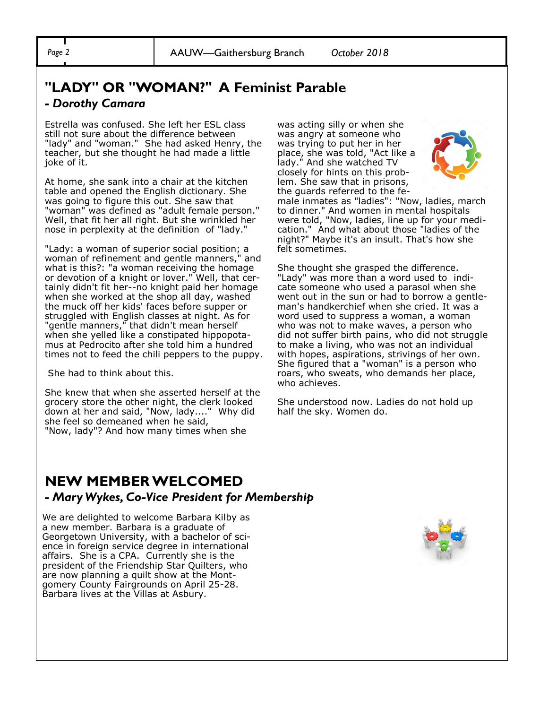## **"LADY" OR "WOMAN?" A Feminist Parable**

#### *- Dorothy Camara*

Estrella was confused. She left her ESL class still not sure about the difference between "lady" and "woman." She had asked Henry, the teacher, but she thought he had made a little joke of it.

At home, she sank into a chair at the kitchen table and opened the English dictionary. She was going to figure this out. She saw that "woman" was defined as "adult female person." Well, that fit her all right. But she wrinkled her nose in perplexity at the definition of "lady."

"Lady: a woman of superior social position; a woman of refinement and gentle manners," and what is this?: "a woman receiving the homage or devotion of a knight or lover." Well, that certainly didn't fit her--no knight paid her homage when she worked at the shop all day, washed the muck off her kids' faces before supper or struggled with English classes at night. As for "gentle manners," that didn't mean herself when she yelled like a constipated hippopotamus at Pedrocito after she told him a hundred times not to feed the chili peppers to the puppy.

She had to think about this.

She knew that when she asserted herself at the grocery store the other night, the clerk looked down at her and said, "Now, lady...." Why did she feel so demeaned when he said, "Now, lady"? And how many times when she

was acting silly or when she was angry at someone who was trying to put her in her place, she was told, "Act like a lady." And she watched TV closely for hints on this problem. She saw that in prisons, the guards referred to the fe-



male inmates as "ladies": "Now, ladies, march to dinner." And women in mental hospitals were told, "Now, ladies, line up for your medication." And what about those "ladies of the night?" Maybe it's an insult. That's how she felt sometimes.

She thought she grasped the difference. "Lady" was more than a word used to indicate someone who used a parasol when she went out in the sun or had to borrow a gentleman's handkerchief when she cried. It was a word used to suppress a woman, a woman who was not to make waves, a person who did not suffer birth pains, who did not struggle to make a living, who was not an individual with hopes, aspirations, strivings of her own. She figured that a "woman" is a person who roars, who sweats, who demands her place, who achieves.

She understood now. Ladies do not hold up half the sky. Women do.

### **NEW MEMBER WELCOMED**  *- Mary Wykes, Co-Vice President for Membership*

We are delighted to welcome Barbara Kilby as a new member. Barbara is a graduate of Georgetown University, with a bachelor of science in foreign service degree in international affairs. She is a CPA. Currently she is the president of the Friendship Star Quilters, who are now planning a quilt show at the Montgomery County Fairgrounds on April 25-28. Barbara lives at the Villas at Asbury.

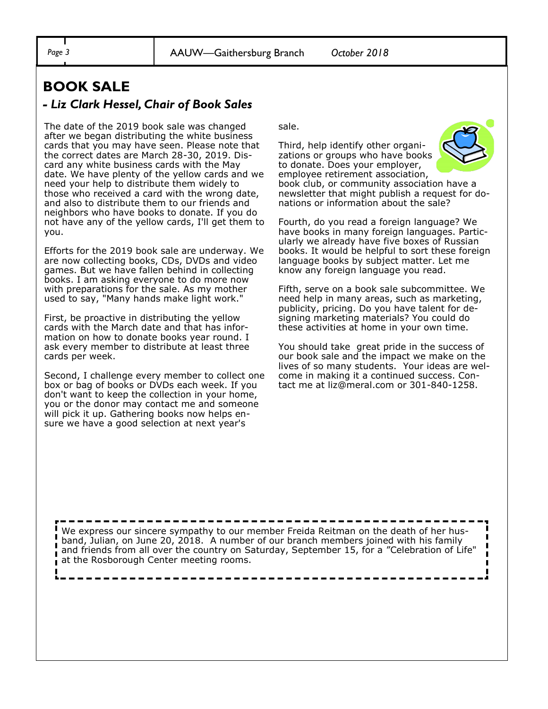### **BOOK SALE**  *- Liz Clark Hessel, Chair of Book Sales*

The date of the 2019 book sale was changed after we began distributing the white business cards that you may have seen. Please note that the correct dates are March 28-30, 2019. Discard any white business cards with the May date. We have plenty of the yellow cards and we need your help to distribute them widely to those who received a card with the wrong date, and also to distribute them to our friends and neighbors who have books to donate. If you do not have any of the yellow cards, I'll get them to you.

Efforts for the 2019 book sale are underway. We are now collecting books, CDs, DVDs and video games. But we have fallen behind in collecting books. I am asking everyone to do more now with preparations for the sale. As my mother used to say, "Many hands make light work."

First, be proactive in distributing the yellow cards with the March date and that has information on how to donate books year round. I ask every member to distribute at least three cards per week.

Second, I challenge every member to collect one box or bag of books or DVDs each week. If you don't want to keep the collection in your home, you or the donor may contact me and someone will pick it up. Gathering books now helps ensure we have a good selection at next year's

sale.

Third, help identify other organizations or groups who have books to donate. Does your employer, employee retirement association, book club, or community association have a newsletter that might publish a request for donations or information about the sale?

Fourth, do you read a foreign language? We have books in many foreign languages. Particularly we already have five boxes of Russian books. It would be helpful to sort these foreign language books by subject matter. Let me know any foreign language you read.

Fifth, serve on a book sale subcommittee. We need help in many areas, such as marketing, publicity, pricing. Do you have talent for designing marketing materials? You could do these activities at home in your own time.

You should take great pride in the success of our book sale and the impact we make on the lives of so many students. Your ideas are welcome in making it a continued success. Contact me at liz@meral.com or 301-840-1258.

We express our sincere sympathy to our member Freida Reitman on the death of her husband, Julian, on June 20, 2018. A number of our branch members joined with his family and friends from all over the country on Saturday, September 15, for a "Celebration of Life" at the Rosborough Center meeting rooms.

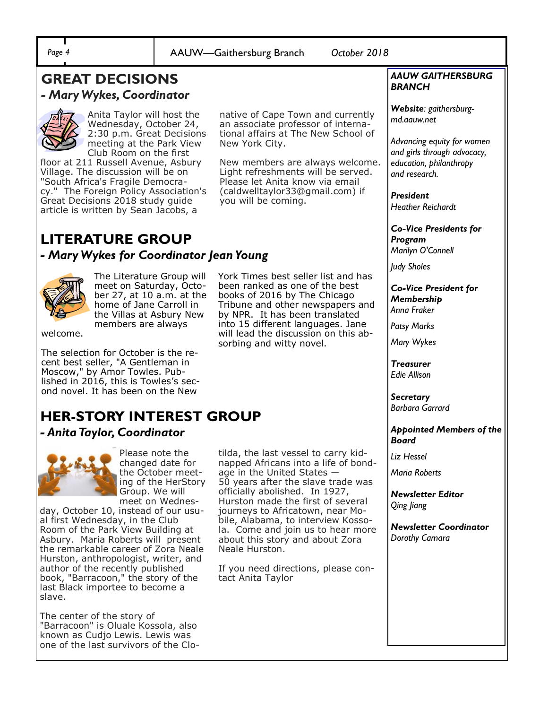## **GREAT DECISIONS**

### *- Mary Wykes, Coordinator*



Anita Taylor will host the Wednesday, October 24, 2:30 p.m. Great Decisions meeting at the Park View Club Room on the first

floor at 211 Russell Avenue, Asbury Village. The discussion will be on "South Africa's Fragile Democracy." The Foreign Policy Association's Great Decisions 2018 study guide article is written by Sean Jacobs, a

native of Cape Town and currently an associate professor of international affairs at The New School of New York City.

New members are always welcome. Light refreshments will be served. Please let Anita know via email (caldwelltaylor33@gmail.com) if you will be coming.

## **LITERATURE GROUP**

### *- Mary Wykes for Coordinator Jean Young*



The Literature Group will meet on Saturday, October 27, at 10 a.m. at the home of Jane Carroll in the Villas at Asbury New members are always

welcome.

The selection for October is the recent best seller, "A Gentleman in Moscow," by Amor Towles. Published in 2016, this is Towles's second novel. It has been on the New

## **HER-STORY INTEREST GROUP**

### *- Anita Taylor, Coordinator*



Please note the changed date for the October meeting of the HerStory Group. We will meet on Wednes-

day, October 10, instead of our usual first Wednesday, in the Club Room of the Park View Building at Asbury. Maria Roberts will present the remarkable career of Zora Neale Hurston, anthropologist, writer, and author of the recently published book, "Barracoon," the story of the last Black importee to become a slave.

The center of the story of "Barracoon" is Oluale Kossola, also known as Cudjo Lewis. Lewis was one of the last survivors of the CloYork Times best seller list and has been ranked as one of the best books of 2016 by The Chicago Tribune and other newspapers and by NPR. It has been translated into 15 different languages. Jane will lead the discussion on this absorbing and witty novel.

tilda, the last vessel to carry kidnapped Africans into a life of bondage in the United States — 50 years after the slave trade was officially abolished. In 1927, Hurston made the first of several journeys to Africatown, near Mobile, Alabama, to interview Kossola. Come and join us to hear more about this story and about Zora Neale Hurston.

If you need directions, please contact Anita Taylor

#### *AAUW GAITHERSBURG BRANCH*

*Website: gaithersburgmd.aauw.net* 

*Advancing equity for women and girls through advocacy, education, philanthropy and research.*

*President Heather Reichardt*

*Co-Vice Presidents for Program Marilyn O'Connell*

*Judy Sholes*

#### *Co-Vice President for Membership Anna Fraker*

*Patsy Marks*

*Mary Wykes*

*Treasurer Edie Allison*

*Secretary Barbara Garrard*

#### *Appointed Members of the Board*

*Liz Hessel*

*Maria Roberts*

*Newsletter Editor Qing Jiang*

*Newsletter Coordinator Dorothy Camara*